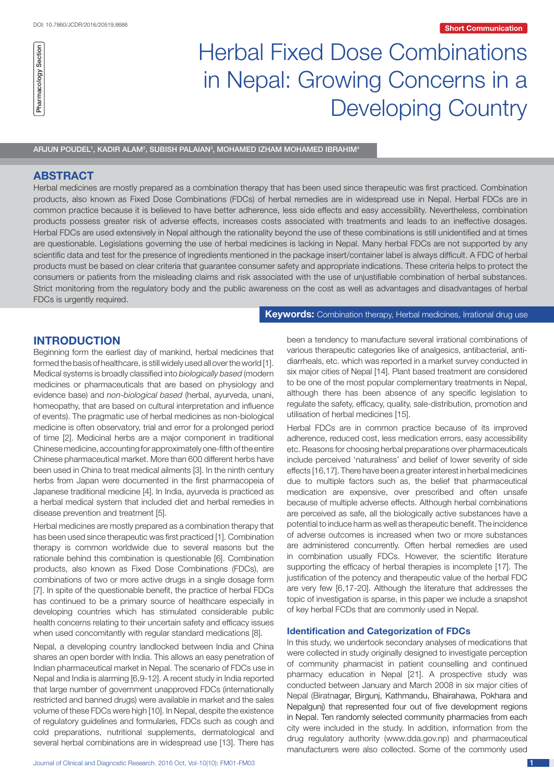# Herbal Fixed Dose Combinations in Nepal: Growing Concerns in a Developing Country

ARJUN POUDEL', KADIR ALAM², SUBISH PALAIAN $^{\circ}$ , MOHAMED IZHAM MOHAMED IBRAHIM $^{\circ}$ 

# **ABSTRACT**

Pharmacology Section

Pharmacology Section

Herbal medicines are mostly prepared as a combination therapy that has been used since therapeutic was first practiced. Combination products, also known as Fixed Dose Combinations (FDCs) of herbal remedies are in widespread use in Nepal. Herbal FDCs are in common practice because it is believed to have better adherence, less side effects and easy accessibility. Nevertheless, combination products possess greater risk of adverse effects, increases costs associated with treatments and leads to an ineffective dosages. Herbal FDCs are used extensively in Nepal although the rationality beyond the use of these combinations is still unidentified and at times are questionable. Legislations governing the use of herbal medicines is lacking in Nepal. Many herbal FDCs are not supported by any scientific data and test for the presence of ingredients mentioned in the package insert/container label is always difficult. A FDC of herbal products must be based on clear criteria that guarantee consumer safety and appropriate indications. These criteria helps to protect the consumers or patients from the misleading claims and risk associated with the use of unjustifiable combination of herbal substances. Strict monitoring from the regulatory body and the public awareness on the cost as well as advantages and disadvantages of herbal FDCs is urgently required.

**Keywords:** Combination therapy, Herbal medicines, Irrational drug use

# **INTRODUCTION**

Beginning form the earliest day of mankind, herbal medicines that formed the basis of healthcare, is still widely used all over the world [1]. Medical systems is broadly classified into *biologically based* (modern medicines or pharmaceuticals that are based on physiology and evidence base) and *non-biological based* (herbal, ayurveda, unani, homeopathy, that are based on cultural interpretation and influence of events). The pragmatic use of herbal medicines as non-biological medicine is often observatory, trial and error for a prolonged period of time [2]. Medicinal herbs are a major component in traditional Chinese medicine, accounting for approximately one-fifth of the entire Chinese pharmaceutical market. More than 600 different herbs have been used in China to treat medical ailments [3]. In the ninth century herbs from Japan were documented in the first pharmacopeia of Japanese traditional medicine [4]. In India, ayurveda is practiced as a herbal medical system that included diet and herbal remedies in disease prevention and treatment [5].

Herbal medicines are mostly prepared as a combination therapy that has been used since therapeutic was first practiced [1]. Combination therapy is common worldwide due to several reasons but the rationale behind this combination is questionable [6]. Combination products, also known as Fixed Dose Combinations (FDCs), are combinations of two or more active drugs in a single dosage form [7]. In spite of the questionable benefit, the practice of herbal FDCs has continued to be a primary source of healthcare especially in developing countries which has stimulated considerable public health concerns relating to their uncertain safety and efficacy issues when used concomitantly with regular standard medications [8].

Nepal, a developing country landlocked between India and China shares an open border with India. This allows an easy penetration of Indian pharmaceutical market in Nepal. The scenario of FDCs use in Nepal and India is alarming [6,9-12]. A recent study in India reported that large number of government unapproved FDCs (internationally restricted and banned drugs) were available in market and the sales volume of these FDCs were high [10]. In Nepal, despite the existence of regulatory guidelines and formularies, FDCs such as cough and cold preparations, nutritional supplements, dermatological and several herbal combinations are in widespread use [13]. There has

been a tendency to manufacture several irrational combinations of various therapeutic categories like of analgesics, antibacterial, antidiarrheals, etc. which was reported in a market survey conducted in six major cities of Nepal [14]. Plant based treatment are considered to be one of the most popular complementary treatments in Nepal, although there has been absence of any specific legislation to regulate the safety, efficacy, quality, sale-distribution, promotion and utilisation of herbal medicines [15].

Herbal FDCs are in common practice because of its improved adherence, reduced cost, less medication errors, easy accessibility etc. Reasons for choosing herbal preparations over pharmaceuticals include perceived 'naturalness' and belief of lower severity of side effects [16,17]. There have been a greater interest in herbal medicines due to multiple factors such as, the belief that pharmaceutical medication are expensive, over prescribed and often unsafe because of multiple adverse effects. Although herbal combinations are perceived as safe, all the biologically active substances have a potential to induce harm as well as therapeutic benefit. The incidence of adverse outcomes is increased when two or more substances are administered concurrently. Often herbal remedies are used in combination usually FDCs. However, the scientific literature supporting the efficacy of herbal therapies is incomplete [17]. The justification of the potency and therapeutic value of the herbal FDC are very few [6,17-20]. Although the literature that addresses the topic of investigation is sparse, in this paper we include a snapshot of key herbal FCDs that are commonly used in Nepal.

#### **Identification and Categorization of FDCs**

In this study, we undertook secondary analyses of medications that were collected in study originally designed to investigate perception of community pharmacist in patient counselling and continued pharmacy education in Nepal [21]. A prospective study was conducted between January and March 2008 in six major cities of Nepal (Biratnagar, Birgunj, Kathmandu, Bhairahawa, Pokhara and Nepalgunj) that represented four out of five development regions in Nepal. Ten randomly selected community pharmacies from each city were included in the study. In addition, information from the drug regulatory authority (www.dda.gov.np) and pharmaceutical manufacturers were also collected. Some of the commonly used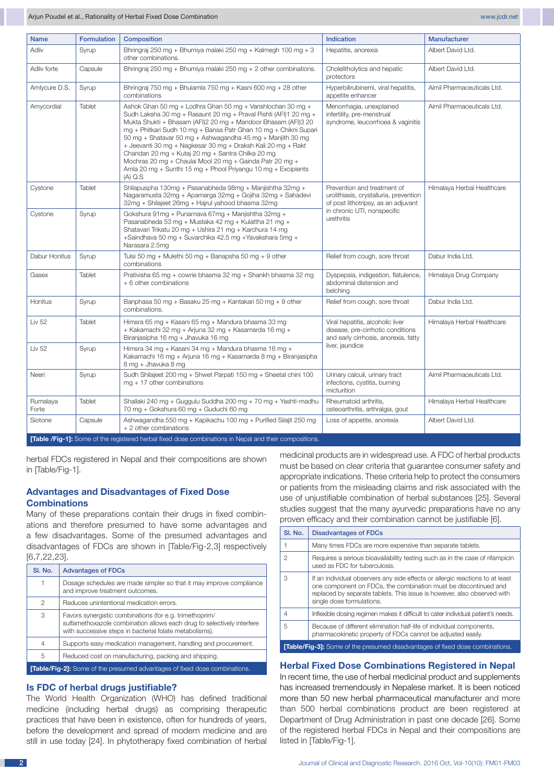| <b>Name</b>       | <b>Formulation</b> | Composition                                                                                                                                                                                                                                                                                                                                                                                                                                                                                                                                                                                      | Indication                                                                                                                                                | <b>Manufacturer</b>        |
|-------------------|--------------------|--------------------------------------------------------------------------------------------------------------------------------------------------------------------------------------------------------------------------------------------------------------------------------------------------------------------------------------------------------------------------------------------------------------------------------------------------------------------------------------------------------------------------------------------------------------------------------------------------|-----------------------------------------------------------------------------------------------------------------------------------------------------------|----------------------------|
| Adliv             | Syrup              | Bhringraj 250 mg + Bhumiya malaki 250 mg + Kalmegh 100 mg + 3<br>other combinations.                                                                                                                                                                                                                                                                                                                                                                                                                                                                                                             | Hepatitis, anorexia                                                                                                                                       | Albert David Ltd.          |
| Adliv forte       | Capsule            | Bhringraj 250 mg + Bhumiya malaki 250 mg + 2 other combinations.                                                                                                                                                                                                                                                                                                                                                                                                                                                                                                                                 | Cholelitholytics and hepatic<br>protectors                                                                                                                | Albert David Ltd.          |
| Amlycure D.S.     | Syrup              | Bhringraj 750 mg + Bhujamla 750 mg + Kasni 600 mg + 28 other<br>combinations                                                                                                                                                                                                                                                                                                                                                                                                                                                                                                                     | Hyperbilirubinemi, viral hepatitis,<br>appetite enhancer                                                                                                  | Aimil Pharmaceuticals Ltd. |
| Amycordial        | Tablet             | Ashok Ghan 50 mg + Lodhra Ghan 50 mg + Vanshlochan 30 mg +<br>Sudh Laksha 30 mg + Rasaunt 20 mg + Praval Pishti (AFI)1 20 mg +<br>Mukta Shukti + Bhasam (AFI)2 20 mg + Mandoor Bhasam (AFI)3 20<br>mg + Phitkari Sudh 10 mg + Bansa Patr Ghan 10 mg + Chikni Supari<br>50 mg + Shatavar 50 mg + Ashwagandha 45 mg + Manjith 30 mg<br>+ Jeevanti 30 mg + Nagkesar 30 mg + Draksh Kali 20 mg + Rakt<br>Chandan 20 mg + Kutaj 20 mg + Santra Chilka 20 mg<br>Mochras 20 mg + Chaulai Mool 20 mg + Gainda Patr 20 mg +<br>Amla 20 mg + Sunthi 15 mg + Phool Priyangu 10 mg + Excipients<br>$(A)$ Q.S | Menorrhagia, unexplained<br>infertility, pre-menstrual<br>syndrome, leucorrhoea & vaginitis                                                               | Aimil Pharmaceuticals Ltd. |
| Cystone           | Tablet             | Shilapuspha 130mg + Pasanabheda 98mg + Manjishtha 32mg +<br>Nagaramusta 32mg + Apamarga 32mg + Gojiha 32mg + Sahadevi<br>32mg + Shilajeet 26mg + Hajrul yahood bhasma 32mg                                                                                                                                                                                                                                                                                                                                                                                                                       | Prevention and treatment of<br>urolithiasis, crystalluria, prevention<br>of post lithotripsy, as an adjuvant<br>in chronic UTI, nonspecific<br>urethritis | Himalaya Herbal Healthcare |
| Cystone           | Syrup              | Gokshura 91mg + Punarnava 67mg + Manjishtha 32mg +<br>Pasanabheda 53 mg + Mustaka 42 mg + Kulattha 21 mg +<br>Shatavari Trikatu 20 mg + Ushira 21 mg + Karchura 14 mg<br>+Saindhava 50 mg + Suvarchika 42.5 mg +Yavakshara 5mg +<br>Narasara 2.5mg                                                                                                                                                                                                                                                                                                                                               |                                                                                                                                                           |                            |
| Dabur Honitus     | Syrup              | Tulsi 50 mg + Mulethi 50 mg + Banapsha 50 mg + 9 other<br>combinations                                                                                                                                                                                                                                                                                                                                                                                                                                                                                                                           | Relief from cough, sore throat                                                                                                                            | Dabur India Ltd.           |
| Gasex             | <b>Tablet</b>      | Prativisha 65 mg + cowrie bhasma 32 mg + Shankh bhasma 32 mg<br>+ 6 other combinations                                                                                                                                                                                                                                                                                                                                                                                                                                                                                                           | Dyspepsia, indigestion, flatulence,<br>abdominal distension and<br>belching                                                                               | Himalaya Drug Company      |
| Honitus           | Syrup              | Banphasa 50 mg + Basaku 25 mg + Kantakari 50 mg + 9 other<br>combinations.                                                                                                                                                                                                                                                                                                                                                                                                                                                                                                                       | Relief from cough, sore throat                                                                                                                            | Dabur India Ltd.           |
| Liv 52            | Tablet             | Himsra 65 mg + Kasani 65 mg + Mandura bhasma 33 mg<br>+ Kakamachi 32 mg + Arjuna 32 mg + Kasamarda 16 mg +<br>Biranjasipha 16 mg + Jhavuka 16 mg                                                                                                                                                                                                                                                                                                                                                                                                                                                 | Viral hepatitis, alcoholic liver<br>disease, pre-cirrhotic conditions<br>and early cirrhosis, anorexia, fatty<br>liver, jaundice                          | Himalaya Herbal Healthcare |
| Liv 52            | Syrup              | Himsra 34 mg + Kasani 34 mg + Mandura bhasma 16 mg +<br>Kakamachi 16 mg + Arjuna 16 mg + Kasamarda 8 mg + Biranjasipha<br>8 mg + Jhavuka 8 mg                                                                                                                                                                                                                                                                                                                                                                                                                                                    |                                                                                                                                                           |                            |
| Neeri             | Syrup              | Sudh Shilajeet 200 mg + Shwet Parpati 150 mg + Sheetal chini 100<br>$ma + 17$ other combinations                                                                                                                                                                                                                                                                                                                                                                                                                                                                                                 | Urinary calculi, urinary tract<br>infections, cystitis, burning<br>micturition                                                                            | Aimil Pharmaceuticals Ltd. |
| Rumalaya<br>Forte | Tablet             | Shallaki 240 mg + Guggulu Suddha 200 mg + 70 mg + Yashti-madhu<br>70 mg + Gokshura 60 mg + Guduchi 60 mg                                                                                                                                                                                                                                                                                                                                                                                                                                                                                         | Rheumatoid arthritis,<br>osteoarthritis, arthralgia, gout                                                                                                 | Himalaya Herbal Healthcare |
| Siotone           | Capsule            | Ashwagandha 550 mg + Kapikachu 100 mg + Purified Silajit 250 mg<br>+ 2 other combinations                                                                                                                                                                                                                                                                                                                                                                                                                                                                                                        | Loss of appetite, anorexia                                                                                                                                | Albert David Ltd.          |
|                   |                    | <b>[Table /Fig-1]:</b> Some of the registered herbal fixed dose combinations in Nepal and their compositions.                                                                                                                                                                                                                                                                                                                                                                                                                                                                                    |                                                                                                                                                           |                            |

herbal FDCs registered in Nepal and their compositions are shown in [Table/Fig-1].

## **Advantages and Disadvantages of Fixed Dose Combinations**

Many of these preparations contain their drugs in fixed combinations and therefore presumed to have some advantages and a few disadvantages. Some of the presumed advantages and disadvantages of FDCs are shown in [Table/Fig-2,3] respectively [6,7,22,23].

| SI. No.                                                                           | <b>Advantages of FDCs</b>                                                                                                                                                                    |  |
|-----------------------------------------------------------------------------------|----------------------------------------------------------------------------------------------------------------------------------------------------------------------------------------------|--|
|                                                                                   | Dosage schedules are made simpler so that it may improve compliance<br>and improve treatment outcomes.                                                                                       |  |
| 2                                                                                 | Reduces unintentional medication errors.                                                                                                                                                     |  |
| 3                                                                                 | Favors synergistic combinations (for e.g. trimethoprim/<br>sulfamethoxazole combination allows each drug to selectively interfere<br>with successive steps in bacterial folate metabolisms). |  |
| $\overline{4}$                                                                    | Supports easy medication management, handling and procurement.                                                                                                                               |  |
| 5                                                                                 | Reduced cost on manufacturing, packing and shipping.                                                                                                                                         |  |
| <b>[Table/Fig-2]:</b> Some of the presumed advantages of fixed dose combinations. |                                                                                                                                                                                              |  |

# **Is FDC of herbal drugs justifiable?**

The World Health Organization (WHO) has defined traditional medicine (including herbal drugs) as comprising therapeutic practices that have been in existence, often for hundreds of years, before the development and spread of modern medicine and are still in use today [24]. In phytotherapy fixed combination of herbal medicinal products are in widespread use. A FDC of herbal products must be based on clear criteria that guarantee consumer safety and appropriate indications. These criteria help to protect the consumers or patients from the misleading claims and risk associated with the use of unjustifiable combination of herbal substances [25]. Several studies suggest that the many ayurvedic preparations have no any proven efficacy and their combination cannot be justifiable [6].

| SI. No.                                                                              | <b>Disadvantages of FDCs</b>                                                                                                                                                                                                                             |  |  |
|--------------------------------------------------------------------------------------|----------------------------------------------------------------------------------------------------------------------------------------------------------------------------------------------------------------------------------------------------------|--|--|
|                                                                                      | Many times FDCs are more expensive than separate tablets.                                                                                                                                                                                                |  |  |
| $\mathfrak{p}$                                                                       | Requires a serious bioavailability testing such as in the case of rifampicin<br>used as FDC for tuberculosis.                                                                                                                                            |  |  |
| 3                                                                                    | If an individual observers any side effects or allergic reactions to at least<br>one component on FDCs, the combination must be discontinued and<br>replaced by separate tablets. This issue is however, also observed with<br>single dose formulations. |  |  |
| $\overline{4}$                                                                       | Inflexible dosing regimen makes it difficult to cater individual patient's needs.                                                                                                                                                                        |  |  |
| 5                                                                                    | Because of different elimination half-life of individual components,<br>pharmacokinetic property of FDCs cannot be adjusted easily.                                                                                                                      |  |  |
| <b>[Table/Fig-3]:</b> Some of the presumed disadvantages of fixed dose combinations. |                                                                                                                                                                                                                                                          |  |  |

#### **Herbal Fixed Dose Combinations Registered in Nepal**

In recent time, the use of herbal medicinal product and supplements has increased tremendously in Nepalese market. It is been noticed more than 50 new herbal pharmaceutical manufacturer and more than 500 herbal combinations product are been registered at Department of Drug Administration in past one decade [26]. Some of the registered herbal FDCs in Nepal and their compositions are listed in [Table/Fig-1].